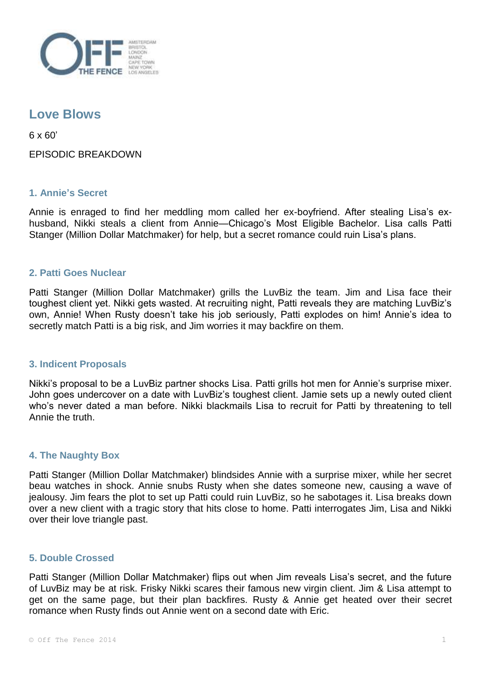

# **Love Blows**

6 x 60'

EPISODIC BREAKDOWN

## **1. Annie's Secret**

Annie is enraged to find her meddling mom called her ex-boyfriend. After stealing Lisa's exhusband, Nikki steals a client from Annie—Chicago's Most Eligible Bachelor. Lisa calls Patti Stanger (Million Dollar Matchmaker) for help, but a secret romance could ruin Lisa's plans.

## **2. Patti Goes Nuclear**

Patti Stanger (Million Dollar Matchmaker) grills the LuvBiz the team. Jim and Lisa face their toughest client yet. Nikki gets wasted. At recruiting night, Patti reveals they are matching LuvBiz's own, Annie! When Rusty doesn't take his job seriously, Patti explodes on him! Annie's idea to secretly match Patti is a big risk, and Jim worries it may backfire on them.

#### **3. Indicent Proposals**

Nikki's proposal to be a LuvBiz partner shocks Lisa. Patti grills hot men for Annie's surprise mixer. John goes undercover on a date with LuvBiz's toughest client. Jamie sets up a newly outed client who's never dated a man before. Nikki blackmails Lisa to recruit for Patti by threatening to tell Annie the truth.

#### **4. The Naughty Box**

Patti Stanger (Million Dollar Matchmaker) blindsides Annie with a surprise mixer, while her secret beau watches in shock. Annie snubs Rusty when she dates someone new, causing a wave of jealousy. Jim fears the plot to set up Patti could ruin LuvBiz, so he sabotages it. Lisa breaks down over a new client with a tragic story that hits close to home. Patti interrogates Jim, Lisa and Nikki over their love triangle past.

#### **5. Double Crossed**

Patti Stanger (Million Dollar Matchmaker) flips out when Jim reveals Lisa's secret, and the future of LuvBiz may be at risk. Frisky Nikki scares their famous new virgin client. Jim & Lisa attempt to get on the same page, but their plan backfires. Rusty & Annie get heated over their secret romance when Rusty finds out Annie went on a second date with Eric.